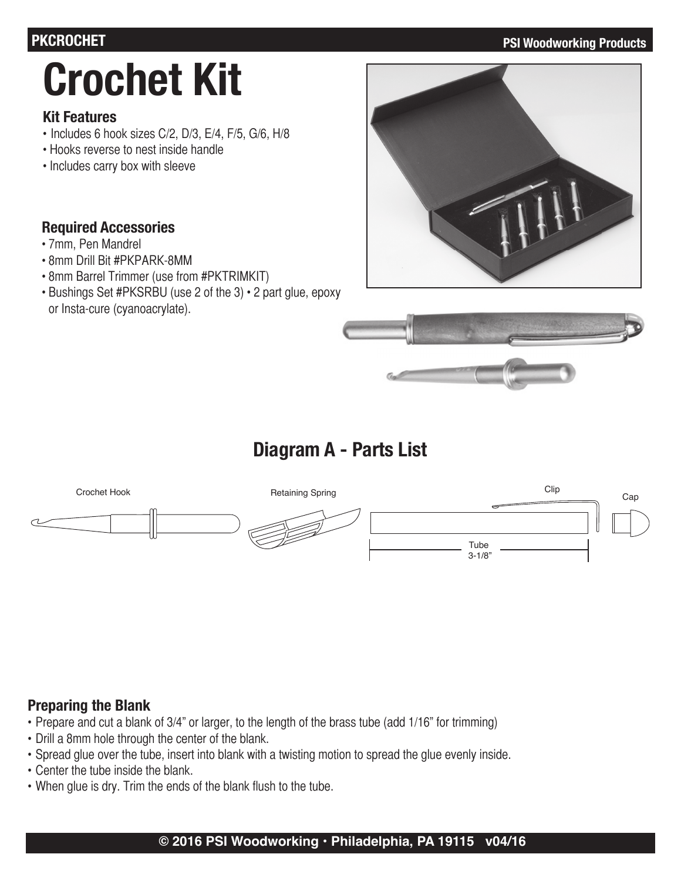#### **PKCROCHET PSI Woodworking Products**

# **Crochet Kit**

#### **Kit Features**

- Includes 6 hook sizes C/2, D/3, E/4, F/5, G/6, H/8
- Hooks reverse to nest inside handle
- Includes carry box with sleeve

#### **Required Accessories**

- 7mm, Pen Mandrel
- 8mm Drill Bit #PKPARK-8MM
- 8mm Barrel Trimmer (use from #PKTRIMKIT)
- Bushings Set #PKSRBU (use 2 of the 3) 2 part glue, epoxy or Insta-cure (cyanoacrylate).





## **Diagram A - Parts List**



### **Preparing the Blank**

- Prepare and cut a blank of 3/4" or larger, to the length of the brass tube (add 1/16" for trimming)
- Drill a 8mm hole through the center of the blank.
- Spread glue over the tube, insert into blank with a twisting motion to spread the glue evenly inside.
- Center the tube inside the blank.
- When glue is dry. Trim the ends of the blank flush to the tube.